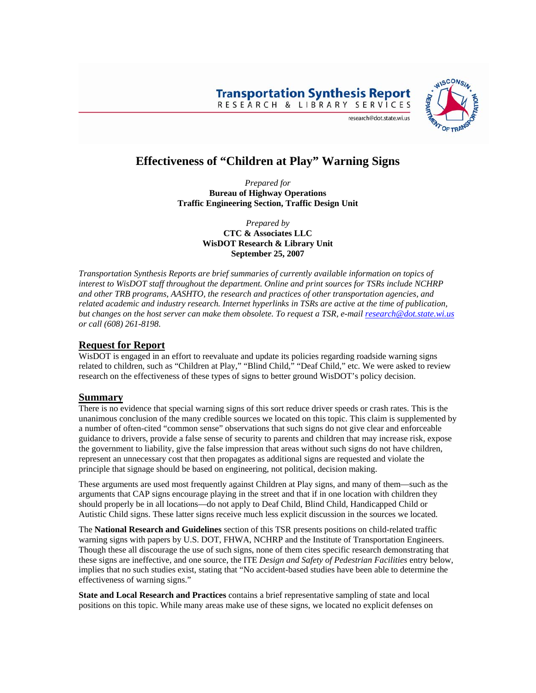**Transportation Synthesis Report** RESEARCH & LIBRARY SERVICES



#### research@dot.state.wi.us

# **Effectiveness of "Children at Play" Warning Signs**

*Prepared for*  **Bureau of Highway Operations Traffic Engineering Section, Traffic Design Unit** 

> *Prepared by*  **CTC & Associates LLC WisDOT Research & Library Unit September 25, 2007**

*Transportation Synthesis Reports are brief summaries of currently available information on topics of interest to WisDOT staff throughout the department. Online and print sources for TSRs include NCHRP and other TRB programs, AASHTO, the research and practices of other transportation agencies, and related academic and industry research. Internet hyperlinks in TSRs are active at the time of publication, but changes on the host server can make them obsolete. To request a TSR, e-mail [research@dot.state.wi.us](mailto:research@dot.state.wi.us) or call (608) 261-8198.*

### **Request for Report**

WisDOT is engaged in an effort to reevaluate and update its policies regarding roadside warning signs related to children, such as "Children at Play," "Blind Child," "Deaf Child," etc. We were asked to review research on the effectiveness of these types of signs to better ground WisDOT's policy decision.

#### **Summary**

There is no evidence that special warning signs of this sort reduce driver speeds or crash rates. This is the unanimous conclusion of the many credible sources we located on this topic. This claim is supplemented by a number of often-cited "common sense" observations that such signs do not give clear and enforceable guidance to drivers, provide a false sense of security to parents and children that may increase risk, expose the government to liability, give the false impression that areas without such signs do not have children, represent an unnecessary cost that then propagates as additional signs are requested and violate the principle that signage should be based on engineering, not political, decision making.

These arguments are used most frequently against Children at Play signs, and many of them—such as the arguments that CAP signs encourage playing in the street and that if in one location with children they should properly be in all locations—do not apply to Deaf Child, Blind Child, Handicapped Child or Autistic Child signs. These latter signs receive much less explicit discussion in the sources we located.

The **National Research and Guidelines** section of this TSR presents positions on child-related traffic warning signs with papers by U.S. DOT, FHWA, NCHRP and the Institute of Transportation Engineers. Though these all discourage the use of such signs, none of them cites specific research demonstrating that these signs are ineffective, and one source, the ITE *Design and Safety of Pedestrian Facilities* entry below, implies that no such studies exist, stating that "No accident-based studies have been able to determine the effectiveness of warning signs."

**State and Local Research and Practices** contains a brief representative sampling of state and local positions on this topic. While many areas make use of these signs, we located no explicit defenses on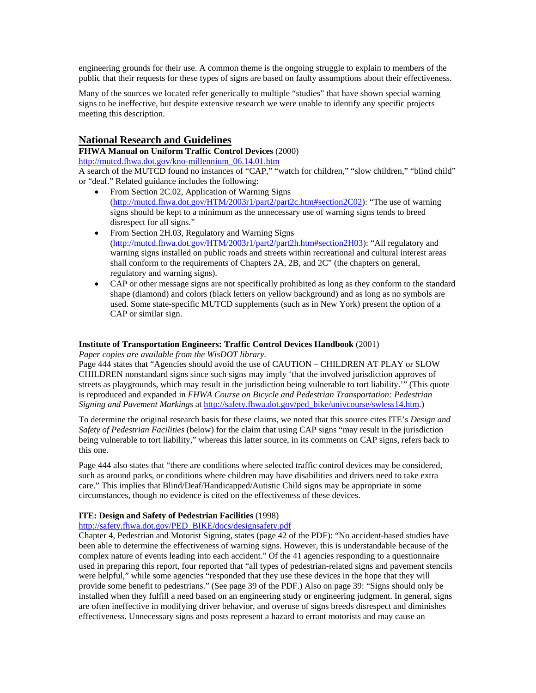engineering grounds for their use. A common theme is the ongoing struggle to explain to members of the public that their requests for these types of signs are based on faulty assumptions about their effectiveness.

Many of the sources we located refer generically to multiple "studies" that have shown special warning signs to be ineffective, but despite extensive research we were unable to identify any specific projects meeting this description.

### **National Research and Guidelines**

**FHWA Manual on Uniform Traffic Control Devices** (2000)

[http://mutcd.fhwa.dot.gov/kno-millennium\\_06.14.01.htm](http://mutcd.fhwa.dot.gov/kno-millennium_06.14.01.htm)

A search of the MUTCD found no instances of "CAP," "watch for children," "slow children," "blind child" or "deaf." Related guidance includes the following:

- From Section 2C.02, Application of Warning Signs [\(http://mutcd.fhwa.dot.gov/HTM/2003r1/part2/part2c.htm#section2C02\)](http://mutcd.fhwa.dot.gov/HTM/2003r1/part2/part2c.htm#section2C02): "The use of warning signs should be kept to a minimum as the unnecessary use of warning signs tends to breed disrespect for all signs."
- From Section 2H.03, Regulatory and Warning Signs [\(http://mutcd.fhwa.dot.gov/HTM/2003r1/part2/part2h.htm#section2H03\)](http://mutcd.fhwa.dot.gov/HTM/2003r1/part2/part2h.htm#section2H03): "All regulatory and warning signs installed on public roads and streets within recreational and cultural interest areas shall conform to the requirements of Chapters 2A, 2B, and 2C" (the chapters on general, regulatory and warning signs).
- CAP or other message signs are not specifically prohibited as long as they conform to the standard shape (diamond) and colors (black letters on yellow background) and as long as no symbols are used. Some state-specific MUTCD supplements (such as in New York) present the option of a CAP or similar sign.

#### **Institute of Transportation Engineers: Traffic Control Devices Handbook** (2001)

*Paper copies are available from the WisDOT library.* 

Page 444 states that "Agencies should avoid the use of CAUTION – CHILDREN AT PLAY or SLOW CHILDREN nonstandard signs since such signs may imply 'that the involved jurisdiction approves of streets as playgrounds, which may result in the jurisdiction being vulnerable to tort liability.'" (This quote is reproduced and expanded in *FHWA Course on Bicycle and Pedestrian Transportation: Pedestrian Signing and Pavement Markings* at [http://safety.fhwa.dot.gov/ped\\_bike/univcourse/swless14.htm.](http://safety.fhwa.dot.gov/ped_bike/univcourse/swless14.htm))

To determine the original research basis for these claims, we noted that this source cites ITE's *Design and Safety of Pedestrian Facilities* (below) for the claim that using CAP signs "may result in the jurisdiction being vulnerable to tort liability," whereas this latter source, in its comments on CAP signs, refers back to this one.

Page 444 also states that "there are conditions where selected traffic control devices may be considered, such as around parks, or conditions where children may have disabilities and drivers need to take extra care." This implies that Blind/Deaf/Handicapped/Autistic Child signs may be appropriate in some circumstances, though no evidence is cited on the effectiveness of these devices.

#### **ITE: Design and Safety of Pedestrian Facilities** (1998)

[http://safety.fhwa.dot.gov/PED\\_BIKE/docs/designsafety.pdf](http://safety.fhwa.dot.gov/PED_BIKE/docs/designsafety.pdf)

Chapter 4, Pedestrian and Motorist Signing, states (page 42 of the PDF): "No accident-based studies have been able to determine the effectiveness of warning signs. However, this is understandable because of the complex nature of events leading into each accident." Of the 41 agencies responding to a questionnaire used in preparing this report, four reported that "all types of pedestrian-related signs and pavement stencils were helpful," while some agencies "responded that they use these devices in the hope that they will provide some benefit to pedestrians." (See page 39 of the PDF.) Also on page 39: "Signs should only be installed when they fulfill a need based on an engineering study or engineering judgment. In general, signs are often ineffective in modifying driver behavior, and overuse of signs breeds disrespect and diminishes effectiveness. Unnecessary signs and posts represent a hazard to errant motorists and may cause an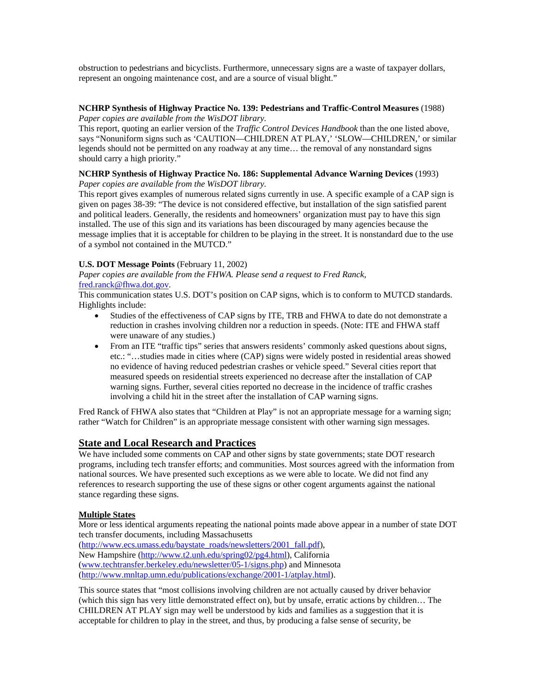obstruction to pedestrians and bicyclists. Furthermore, unnecessary signs are a waste of taxpayer dollars, represent an ongoing maintenance cost, and are a source of visual blight."

#### **NCHRP Synthesis of Highway Practice No. 139: Pedestrians and Traffic-Control Measures** (1988) *Paper copies are available from the WisDOT library.*

This report, quoting an earlier version of the *Traffic Control Devices Handbook* than the one listed above, says "Nonuniform signs such as 'CAUTION—CHILDREN AT PLAY,' 'SLOW—CHILDREN,' or similar legends should not be permitted on any roadway at any time… the removal of any nonstandard signs should carry a high priority."

#### **NCHRP Synthesis of Highway Practice No. 186: Supplemental Advance Warning Devices** (1993) *Paper copies are available from the WisDOT library.*

This report gives examples of numerous related signs currently in use. A specific example of a CAP sign is given on pages 38-39: "The device is not considered effective, but installation of the sign satisfied parent and political leaders. Generally, the residents and homeowners' organization must pay to have this sign installed. The use of this sign and its variations has been discouraged by many agencies because the message implies that it is acceptable for children to be playing in the street. It is nonstandard due to the use of a symbol not contained in the MUTCD."

### **U.S. DOT Message Points** (February 11, 2002)

*Paper copies are available from the FHWA. Please send a request to Fred Ranck,*  [fred.ranck@fhwa.dot.gov.](mailto:fred.ranck@fhwa.dot.gov)

This communication states U.S. DOT's position on CAP signs, which is to conform to MUTCD standards. Highlights include:

- Studies of the effectiveness of CAP signs by ITE, TRB and FHWA to date do not demonstrate a reduction in crashes involving children nor a reduction in speeds. (Note: ITE and FHWA staff were unaware of any studies.)
- From an ITE "traffic tips" series that answers residents' commonly asked questions about signs, etc.: "…studies made in cities where (CAP) signs were widely posted in residential areas showed no evidence of having reduced pedestrian crashes or vehicle speed." Several cities report that measured speeds on residential streets experienced no decrease after the installation of CAP warning signs. Further, several cities reported no decrease in the incidence of traffic crashes involving a child hit in the street after the installation of CAP warning signs.

Fred Ranck of FHWA also states that "Children at Play" is not an appropriate message for a warning sign; rather "Watch for Children" is an appropriate message consistent with other warning sign messages.

## **State and Local Research and Practices**

We have included some comments on CAP and other signs by state governments; state DOT research programs, including tech transfer efforts; and communities. Most sources agreed with the information from national sources. We have presented such exceptions as we were able to locate. We did not find any references to research supporting the use of these signs or other cogent arguments against the national stance regarding these signs.

## **Multiple States**

More or less identical arguments repeating the national points made above appear in a number of state DOT tech transfer documents, including Massachusetts

[\(http://www.ecs.umass.edu/baystate\\_roads/newsletters/2001\\_fall.pdf\)](http://www.ecs.umass.edu/baystate_roads/newsletters/2001_fall.pdf), New Hampshire [\(http://www.t2.unh.edu/spring02/pg4.html\)](http://www.t2.unh.edu/spring02/pg4.html), California [\(www.techtransfer.berkeley.edu/newsletter/05-1/signs.php](http://www.techtransfer.berkeley.edu/newsletter/05-1/signs.php)) and Minnesota [\(http://www.mnltap.umn.edu/publications/exchange/2001-1/atplay.html\)](http://www.mnltap.umn.edu/publications/exchange/2001-1/atplay.html).

This source states that "most collisions involving children are not actually caused by driver behavior (which this sign has very little demonstrated effect on), but by unsafe, erratic actions by children… The CHILDREN AT PLAY sign may well be understood by kids and families as a suggestion that it is acceptable for children to play in the street, and thus, by producing a false sense of security, be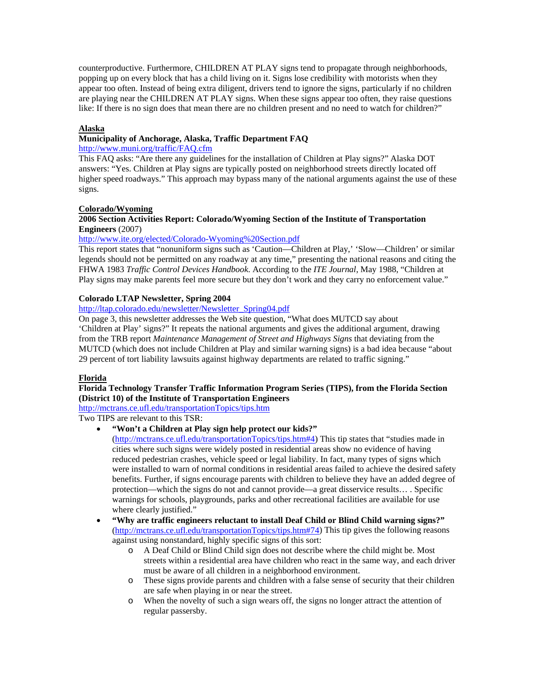counterproductive. Furthermore, CHILDREN AT PLAY signs tend to propagate through neighborhoods, popping up on every block that has a child living on it. Signs lose credibility with motorists when they appear too often. Instead of being extra diligent, drivers tend to ignore the signs, particularly if no children are playing near the CHILDREN AT PLAY signs. When these signs appear too often, they raise questions like: If there is no sign does that mean there are no children present and no need to watch for children?"

#### **Alaska**

#### **Municipality of Anchorage, Alaska, Traffic Department FAQ**

#### <http://www.muni.org/traffic/FAQ.cfm>

This FAQ asks: "Are there any guidelines for the installation of Children at Play signs?" Alaska DOT answers: "Yes. Children at Play signs are typically posted on neighborhood streets directly located off higher speed roadways." This approach may bypass many of the national arguments against the use of these signs.

#### **Colorado/Wyoming**

#### **2006 Section Activities Report: Colorado/Wyoming Section of the Institute of Transportation Engineers** (2007)

#### <http://www.ite.org/elected/Colorado-Wyoming%20Section.pdf>

This report states that "nonuniform signs such as 'Caution—Children at Play,' 'Slow—Children' or similar legends should not be permitted on any roadway at any time," presenting the national reasons and citing the FHWA 1983 *Traffic Control Devices Handbook*. According to the *ITE Journal*, May 1988, "Children at Play signs may make parents feel more secure but they don't work and they carry no enforcement value."

#### **Colorado LTAP Newsletter, Spring 2004**

[http://ltap.colorado.edu/newsletter/Newsletter\\_Spring04.pdf](http://ltap.colorado.edu/newsletter/Newsletter_Spring04.pdf)

On page 3, this newsletter addresses the Web site question, "What does MUTCD say about 'Children at Play' signs?" It repeats the national arguments and gives the additional argument, drawing from the TRB report *Maintenance Management of Street and Highways Signs* that deviating from the MUTCD (which does not include Children at Play and similar warning signs) is a bad idea because "about 29 percent of tort liability lawsuits against highway departments are related to traffic signing."

#### **Florida**

#### **Florida Technology Transfer Traffic Information Program Series (TIPS), from the Florida Section (District 10) of the Institute of Transportation Engineers**

<http://mctrans.ce.ufl.edu/transportationTopics/tips.htm>

#### Two TIPS are relevant to this TSR:

• **"Won't a Children at Play sign help protect our kids?"** 

([http://mctrans.ce.ufl.edu/transportationTopics/tips.htm#4\)](http://mctrans.ce.ufl.edu/transportationTopics/tips.htm#4) This tip states that "studies made in cities where such signs were widely posted in residential areas show no evidence of having reduced pedestrian crashes, vehicle speed or legal liability. In fact, many types of signs which were installed to warn of normal conditions in residential areas failed to achieve the desired safety benefits. Further, if signs encourage parents with children to believe they have an added degree of protection—which the signs do not and cannot provide—a great disservice results… . Specific warnings for schools, playgrounds, parks and other recreational facilities are available for use where clearly justified."

- **"Why are traffic engineers reluctant to install Deaf Child or Blind Child warning signs?"**  ([http://mctrans.ce.ufl.edu/transportationTopics/tips.htm#74\)](http://mctrans.ce.ufl.edu/transportationTopics/tips.htm#74) This tip gives the following reasons against using nonstandard, highly specific signs of this sort:
	- o A Deaf Child or Blind Child sign does not describe where the child might be. Most streets within a residential area have children who react in the same way, and each driver must be aware of all children in a neighborhood environment.
	- o These signs provide parents and children with a false sense of security that their children are safe when playing in or near the street.
	- o When the novelty of such a sign wears off, the signs no longer attract the attention of regular passersby.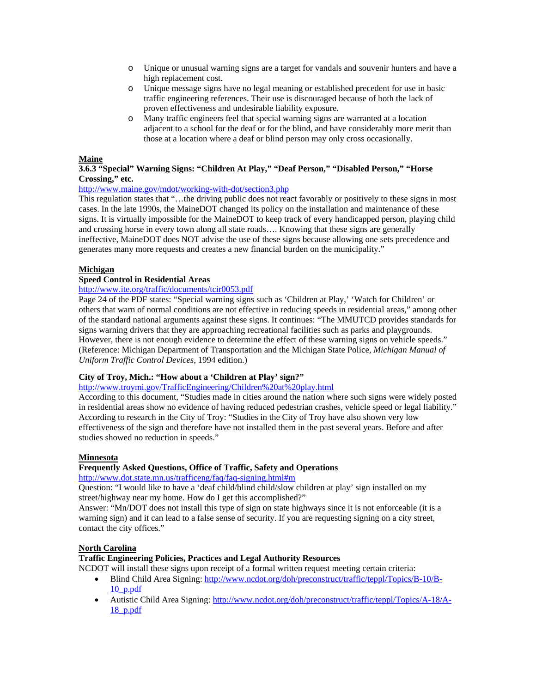- o Unique or unusual warning signs are a target for vandals and souvenir hunters and have a high replacement cost.
- o Unique message signs have no legal meaning or established precedent for use in basic traffic engineering references. Their use is discouraged because of both the lack of proven effectiveness and undesirable liability exposure.
- o Many traffic engineers feel that special warning signs are warranted at a location adjacent to a school for the deaf or for the blind, and have considerably more merit than those at a location where a deaf or blind person may only cross occasionally.

### **Maine**

### **3.6.3 "Special" Warning Signs: "Children At Play," "Deaf Person," "Disabled Person," "Horse Crossing," etc.**

### <http://www.maine.gov/mdot/working-with-dot/section3.php>

This regulation states that "…the driving public does not react favorably or positively to these signs in most cases. In the late 1990s, the MaineDOT changed its policy on the installation and maintenance of these signs. It is virtually impossible for the MaineDOT to keep track of every handicapped person, playing child and crossing horse in every town along all state roads…. Knowing that these signs are generally ineffective, MaineDOT does NOT advise the use of these signs because allowing one sets precedence and generates many more requests and creates a new financial burden on the municipality."

### **Michigan**

### **Speed Control in Residential Areas**

#### <http://www.ite.org/traffic/documents/tcir0053.pdf>

Page 24 of the PDF states: "Special warning signs such as 'Children at Play,' 'Watch for Children' or others that warn of normal conditions are not effective in reducing speeds in residential areas," among other of the standard national arguments against these signs. It continues: "The MMUTCD provides standards for signs warning drivers that they are approaching recreational facilities such as parks and playgrounds. However, there is not enough evidence to determine the effect of these warning signs on vehicle speeds." (Reference: Michigan Department of Transportation and the Michigan State Police, *Michigan Manual of Uniform Traffic Control Devices*, 1994 edition.)

#### **City of Troy, Mich.: "How about a 'Children at Play' sign?"**

<http://www.troymi.gov/TrafficEngineering/Children%20at%20play.html>

According to this document, "Studies made in cities around the nation where such signs were widely posted in residential areas show no evidence of having reduced pedestrian crashes, vehicle speed or legal liability." According to research in the City of Troy: "Studies in the City of Troy have also shown very low effectiveness of the sign and therefore have not installed them in the past several years. Before and after studies showed no reduction in speeds."

#### **Minnesota**

### **Frequently Asked Questions, Office of Traffic, Safety and Operations**

<http://www.dot.state.mn.us/trafficeng/faq/faq-signing.html#m>

Question: "I would like to have a 'deaf child/blind child/slow children at play' sign installed on my street/highway near my home. How do I get this accomplished?"

Answer: "Mn/DOT does not install this type of sign on state highways since it is not enforceable (it is a warning sign) and it can lead to a false sense of security. If you are requesting signing on a city street, [contact the city offices.](http://www.dot.state.mn.us/trafficeng/contacts/index.html)"

## **North Carolina**

#### **Traffic Engineering Policies, Practices and Legal Authority Resources**

NCDOT will install these signs upon receipt of a formal written request meeting certain criteria:

- Blind Child Area Signing: [http://www.ncdot.org/doh/preconstruct/traffic/teppl/Topics/B-10/B-](http://www.ncdot.org/doh/preconstruct/traffic/teppl/Topics/B-10/B-10_p.pdf)[10\\_p.pdf](http://www.ncdot.org/doh/preconstruct/traffic/teppl/Topics/B-10/B-10_p.pdf)
- Autistic Child Area Signing: [http://www.ncdot.org/doh/preconstruct/traffic/teppl/Topics/A-18/A-](http://www.ncdot.org/doh/preconstruct/traffic/teppl/Topics/A-18/A-18_p.pdf)[18\\_p.pdf](http://www.ncdot.org/doh/preconstruct/traffic/teppl/Topics/A-18/A-18_p.pdf)